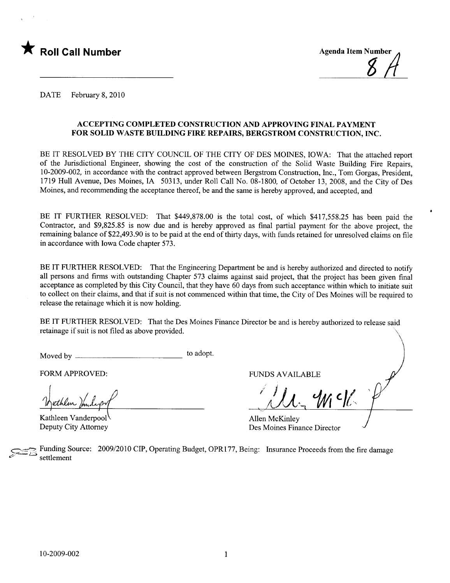



DATE February 8, 2010

### ACCEPTING COMPLETED CONSTRUCTION AND APPROVING FINAL PAYMENT FOR SOLID WASTE BUILDING FIRE REPAIRS, BERGSTROM CONSTRUCTION, INC.

BE IT RESOLVED BY THE CITY COUNCIL OF THE CITY OF DES MOINES, IOWA: That the attached report of the Jurisdictional Engineer, showing the cost of the construction of the Solid Waste Building Fire Repairs, 10-2009-002, in accordance with the contract approved between Bergstrom Construction, Inc., Tom Gorgas, President, 1719 Hull Avenue, Des Moines, IA 50313, under Roll Call No. 08-1800, of October 13,2008, and the City of Des Moines, and recommending the acceptance thereof, be and the same is hereby approved, and accepted, and

BE IT FURTHER RESOLVED: That \$449,878.00 is the total cost, of which \$417,558.25 has been paid the Contractor, and \$9,825.85 is now due and is hereby approved as final partial payment for the above project, the remaining balance of \$22,493.90 is to be paid at the end of thirty days, with funds retained for unresolved claims on fie in accordance with Iowa Code chapter 573.

BE IT FURTHER RESOLVED: That the Engineering Department be and is hereby authorized and directed to notify all persons and firms with outstanding Chapter 573 claims against said project, that the project has been given final acceptance as completed by this City Council, that they have 60 days from such acceptance within which to initiate suit to collect on their claims, and that if suit is not commenced within that time, the City of Des Moines will be required to release the retainage which it is now holding.

BE IT FURTHER RESOLVED: That the Des Moines Finance Director be and is hereby authorized to release said retainage if suit is not filed as above provided.

 $\hbox{\sf Moved by}\nolimits$  to adopt.

FORM APPROVED: THE RESERVED OF STREET AND AVAILABLE

Kathleen Vanderpool Deputy City Attorney

 $\ell$   $\ell$  i dicte

Allen McKinley Des Moines Finance Director

Funding Source: 2009/2010 CIP, Operating Budget, OPR177, Being: Insurance Proceeds from the fire damage settlement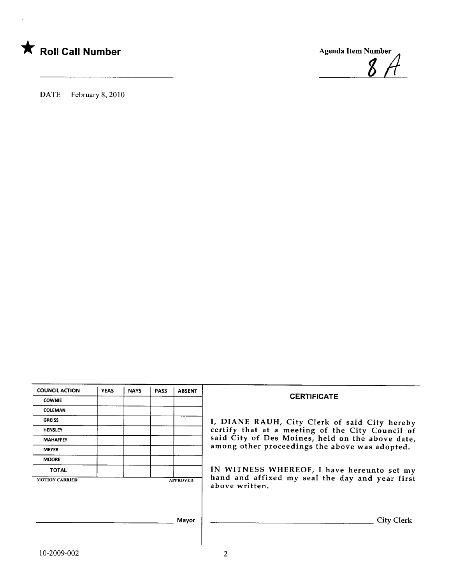

DATE February 8, 2010

COUNCIL ACTION | YEAS | NAYS | PASS | ABSENT **COWNIE CERTIFICATE** COLEMAN GREISS **I, DIANE RAUH, City Clerk of said City hereby**<br>HENSLEY **HENSLEY I, DIANE RAUH, City Clerk of said City hereby** certify that at a meeting of the City Council of MAHAFFEY **SAID CITY OF Des Moines**, held on the above date, MEYER among other proceedings the above was adopted. MOORE TOTAL **IN WITNESS WHEREOF**, I have hereunto set my MOTION CARRED APPROVED hand and affixed my seal the day and year first above written. Mayor City Clerk

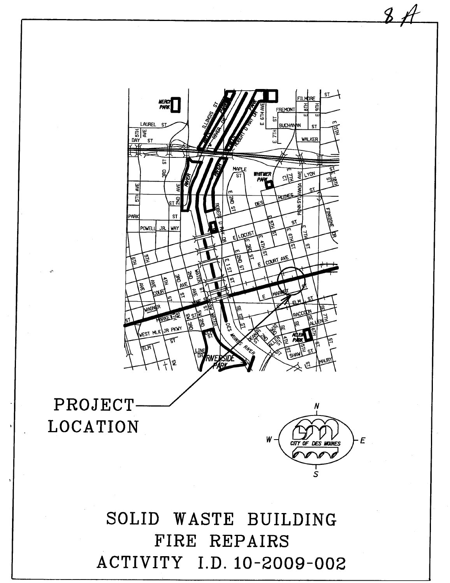SOLID WASTE BUILDING FIRE REPAIRS ACTIVITY I.D. 10-2009-002

# PROJECT **LOCATION**



 $8A$ 

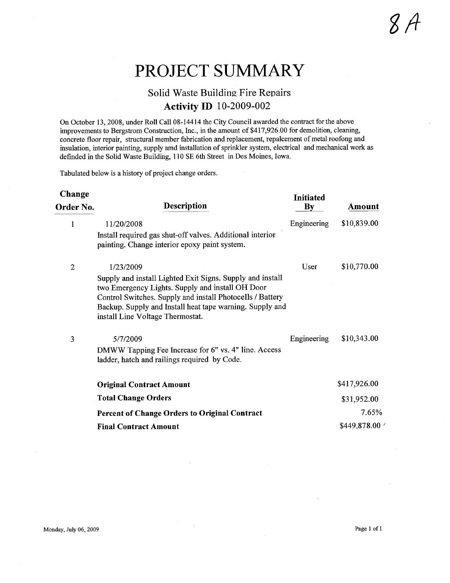## PROJECT SUMMARY

### Solid Waste Building Fire Repairs **Activity ID** 10-2009-002

On October 13, 2008, under Roll Call 08-14414 the City Council awarded the contract for the above improvements to Bergstrom Construction, Inc., in the amount of \$417,926.00 for demolition, cleaning, concrete floor repair, structural member fabrication and replacement, repalcement of metal roofong and insulation, interior painting, supply amd installation of sprinkler system, electrical and mechanical work as defided in the Solid Waste Building, 110 SE 6th Street in Des Moines, Iowa.

Tabulated below is a history of project change orders.

| Change       |                                                                                                                                                                                                                                                                            | <b>Initiated</b> |              |
|--------------|----------------------------------------------------------------------------------------------------------------------------------------------------------------------------------------------------------------------------------------------------------------------------|------------------|--------------|
| Order No.    | <b>Description</b>                                                                                                                                                                                                                                                         | By               | Amount       |
| 1            | 11/20/2008                                                                                                                                                                                                                                                                 | Engineering      | \$10,839.00  |
|              | Install required gas shut-off valves. Additional interior<br>painting. Change interior epoxy paint system.                                                                                                                                                                 |                  |              |
| $\mathbf{2}$ | 1/23/2009                                                                                                                                                                                                                                                                  | User             | \$10,770.00  |
|              | Supply and install Lighted Exit Signs. Supply and install<br>two Emergency Lights. Supply and install OH Door<br>Control Switches. Supply and install Photocells / Battery<br>Backup. Supply and Install heat tape warning. Supply and<br>install Line Voltage Thermostat. |                  |              |
| 3            | 5/7/2009                                                                                                                                                                                                                                                                   | Engineering      | \$10,343.00  |
|              | DMWW Tapping Fee Increase for 6" vs. 4" line. Access<br>ladder, hatch and railings required by Code.                                                                                                                                                                       |                  |              |
|              | <b>Original Contract Amount</b>                                                                                                                                                                                                                                            |                  | \$417,926.00 |
|              | <b>Total Change Orders</b>                                                                                                                                                                                                                                                 |                  | \$31,952.00  |
|              | <b>Percent of Change Orders to Original Contract</b>                                                                                                                                                                                                                       |                  | 7.65%        |
|              | <b>Final Contract Amount</b>                                                                                                                                                                                                                                               |                  | \$449,878.00 |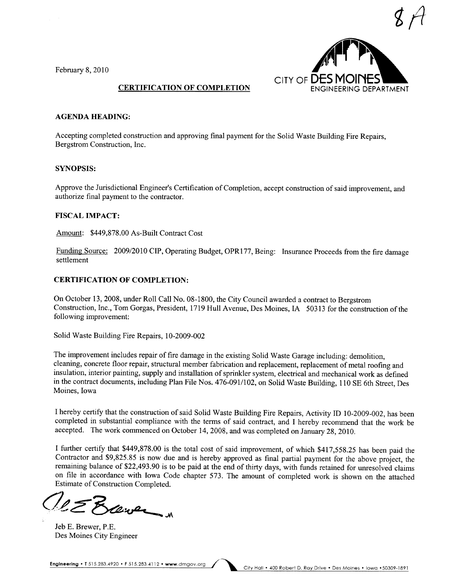February 8, 2010



### CERTIFICATION OF COMPLETION

### AGENDA HEADING:

Accepting completed construction and approving final payment for the Solid Waste Building Fire Repairs, Bergstrom Construction, Inc.

### SYNOPSIS:

Approve the Jurisdictional Engineer's Certification of Completion, accept construction of said improvement, and authorize final payment to the contractor.

### FISCAL IMPACT:

Amount: \$449,878.00 As-Built Contract Cost

Funding Source: 2009/2010 CIP, Operating Budget, OPR177, Being: Insurance Proceeds from the fire damage settlement

### CERTIFICATION OF COMPLETION:

On October 13, 2008, under Roll Call No. 08-1800, the City Council awarded a contract to Bergstrom Construction, Inc., Tom Gorgas, President, 1719 Hull Avenue, Des Moines, IA 50313 for the construction of the following improvement:

Solid Waste Building Fire Repairs, 10-2009-002

The improvement includes repair of fire damage in the existing Solid Waste Garage including: demolition, cleaning, concrete floor repair, structural member fabrication and replacement, replacement of metal roofing and insulation, interior painting, supply and installation of sprinkler system, electrical and mechanical work as defined in the contract documents, including Plan File Nos. 476-091/102, on Solid Waste Building, 110 SE 6th Street, Des Moines, Iowa

I hereby certify that the construction of said Solid Waste Building Fire Repairs, Activity ID 10-2009-002, has been completed in substantial compliance with the terms of said contract, and I hereby recommend that the work be accepted. The work commenced on October 14,2008, and was completed on January 28,2010.

I further certify that \$449,878.00 is the total cost of said improvement, of which \$417,558.25 has been paid the Contractor and \$9,825.85 is now due and is hereby approved as final partial payment for the above project, the remaining balance of \$22,493.90 is to be paid at the end of thirty days, with funds retained for unresolved claims on file in accordance with Iowa Code chapter 573. The amount of completed work is shown on the attached

Estimate of Construction Completed.

Jeb E. Brewer, P.E. Des Moines City Engineer